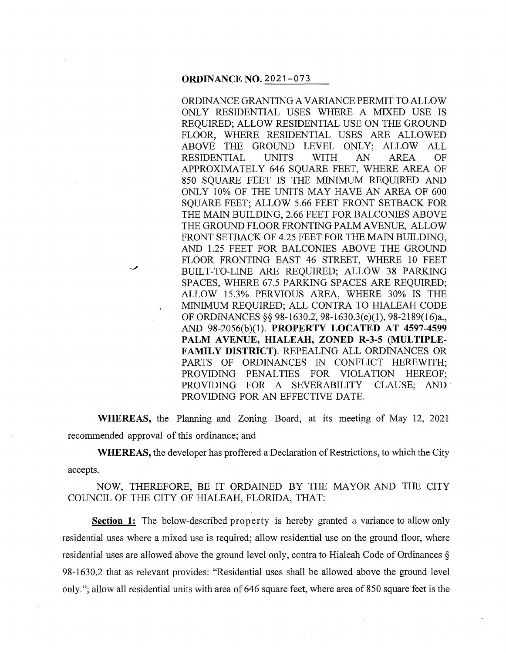### **ORDINANCE NO.** 2021-073

ORDINANCE GRANTING A VARIANCE PERMIT TO ALLOW ONLY RESIDENTIAL USES WHERE A MIXED USE IS REQUIRED; ALLOW RESIDENTIAL USE ON THE GROUND FLOOR, WHERE RESIDENTIAL USES ARE ALLOWED ABOVE THE GROUND LEVEL . ONLY; ALLOW ALL RESIDENTIAL UNITS WITH AN AREA OF APPROXIMATELY 646 SQUARE FEET, WHERE AREA OF 850 SQUARE FEET IS THE MINIMUM REQUIRED AND ONLY 10% OF THE UNITS MAY HAVE AN AREA OF 600 SQUARE FEET; ALLOW 5.66 FEET FRONT SETBACK FOR THE MAIN BUILDING, 2.66 FEET FOR BALCONIES ABOVE THE GROUND FLOOR FRONTING PALM A VENUE, ALLOW FRONT SETBACK OF 4.25 FEET FOR THE MAIN BUILDING, AND 1.25 FEET FOR BALCONIES ABOVE THE GROUND FLOOR FRONTING EAST 46 STREET, WHERE 10 FEET BUILT-TO-LINE ARE REQUIRED; ALLOW 38 PARKING SPACES, WHERE 67.5 PARKING SPACES ARE REQUIRED; ALLOW 15.3% PERVIOUS AREA, WHERE 30% IS THE MINIMUM REQUIRED; ALL CONTRA TO HIALEAH CODE OF ORDINANCES§§ 98-1630.2, 98-1630.3(e)(l), 98-2189(16)a., AND 98-2056(b)(l). **PROPERTY LOCATED AT 4597-4599**  PALM AVENUE, HIALEAH, ZONED R-3-5 (MULTIPLE-**FAMIL Y DISTRICT).** REPEALING ALL ORDINANCES OR PARTS OF ORDINANCES IN CONFLICT HEREWITH; PROVIDING PENALTIES FOR VIOLATION HEREOF; PROVIDING FOR A SEVERABILITY CLAUSE; AND PROVIDING FOR AN EFFECTIVE DATE.

**WHEREAS,** the Planning and Zoning Board, at its meeting of May 12, 2021 recommended approval of this ordinance; and

**WHEREAS,** the developer has proffered a Declaration of Restrictions, to which the City accepts.

NOW, THEREFORE, BE IT ORDAINED BY THE MAYOR AND THE CITY COUNCIL OF THE CITY OF HIALEAH, FLORIDA, THAT:

**Section 1:** The below-described property is hereby granted a variance to allow only residential uses where a mixed use is required; allow residential use on the ground floor, where residential uses are allowed above the ground level only, contra to Hialeah Code of Ordinances § 98-1630.2 that as relevant provides: "Residential uses shall be allowed above the ground level only."; allow all residential units with area of 646 square feet, where area of 850 square feet is the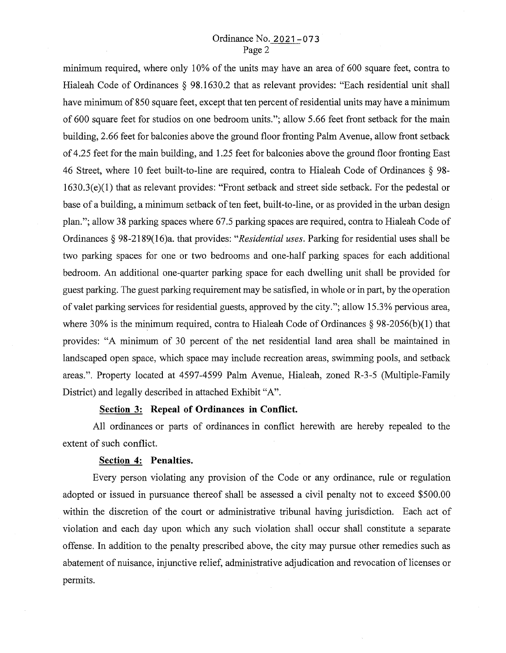# Ordinance No. 2021-073 Page 2

minimum required, where only 10% of the units may have an area of 600 square feet, contra to Hialeah Code of Ordinances § 98.1630.2 that as relevant provides: "Each residential unit shall have minimum of 850 square feet, except that ten percent of residential units may have a minimum of 600 square feet for studios on one bedroom units."; allow 5.66 feet front setback for the main building, 2.66 feet for balconies above the ground floor fronting Palm A venue, allow front setback of 4.25 feet for the main building, and 1.25 feet for balconies above the ground floor fronting East 46 Street, where 10 feet built-to-line are required, contra to Hialeah Code of Ordinances § 98- 1630.3( e)(l) that as relevant provides: "Front setback and street side setback. For the pedestal or base of a building, a minimum setback of ten feet, built-to-line, or as provided in the urban design plan."; allow 38 parking spaces where 67.5 parking spaces are required, contra to Hialeah Code of Ordinances§ 98-2189(16)a. that provides: *"Residential uses.* Parking for residential uses shall be two parking spaces for one or two bedrooms and one-half parking spaces for each additional bedroom. An additional one-quarter parking space for each dwelling unit shall be provided for guest parking. The guest parking requirement may be satisfied, in whole or in part, by the operation of valet parking services for residential guests, approved by the city."; allow 15.3% pervious area, where 30% is the minimum required, contra to Hialeah Code of Ordinances  $\S$  98-2056(b)(1) that provides: "A minimum of 30 percent of the net residential land area shall be maintained in landscaped open space, which space may include recreation areas, swimming pools, and setback areas.". Property located at 4597-4599 Palm Avenue, Hialeah, zoned R-3-5 (Multiple-Family District) and legally described in attached Exhibit "A".

#### **Section 3: Repeal of Ordinances in Conflict.**

All ordinances or parts of ordinances in conflict herewith are hereby repealed to the extent of such conflict.

## **Section 4: Penalties.**

Every person violating any provision of the Code or any ordinance, rule or regulation adopted or issued in pursuance thereof shall be assessed a civil penalty not to exceed \$500.00 within the discretion of the court or administrative tribunal having jurisdiction. Each act of violation and each day upon which any such violation shall occur shall constitute a separate offense. In addition to the penalty prescribed above, the city may pursue other remedies such as abatement of nuisance, injunctive relief, administrative adjudication and revocation of licenses or permits.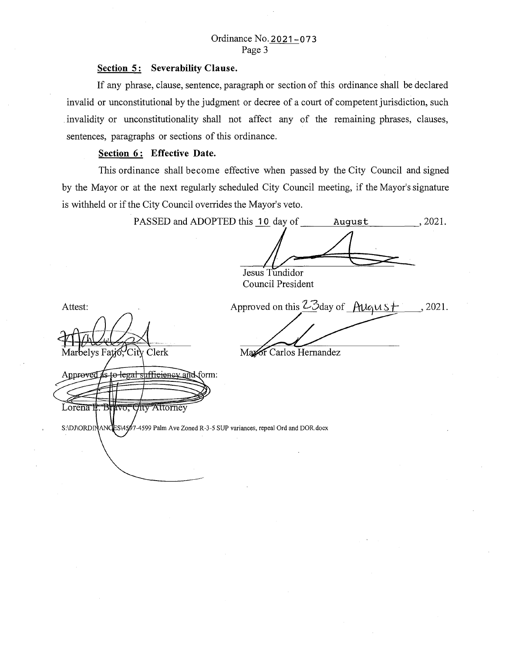#### **Section 5: Severability Clause.**

If any phrase, clause, sentence, paragraph or section of this ordinance shall be declared invalid or unconstitutional by the judgment or decree of a court of competent jurisdiction, such invalidity or unconstitutionality shall not affect any of the remaining phrases, clauses, sentences, paragraphs or sections of this ordinance.

# **<u>Section 6:</u> Effective Date.**

Attest:

Approved

Lorena II.

Bravo,

This ordinance shall become effective when passed by the City Council and signed by the Mayor or at the next regularly scheduled City Council meeting, if the Mayor's signature is withheld or if the City Council overrides the Mayor's veto.

PASSED and ADOPTED this 10 day of hugust, 2021. Jesus Tundidor Council President Approved on this Z3day of August  $, 2021.$ Marbelys Fatio, City Clerk Mazor Carlos Hernandez 4s to legal sufficiency and form:

S:\DJ\ORDINANCES\4597-4599 Palm Ave Zoned R-3-5 SUP variances, repeal Ord and DOR.docx

**City Attorney**